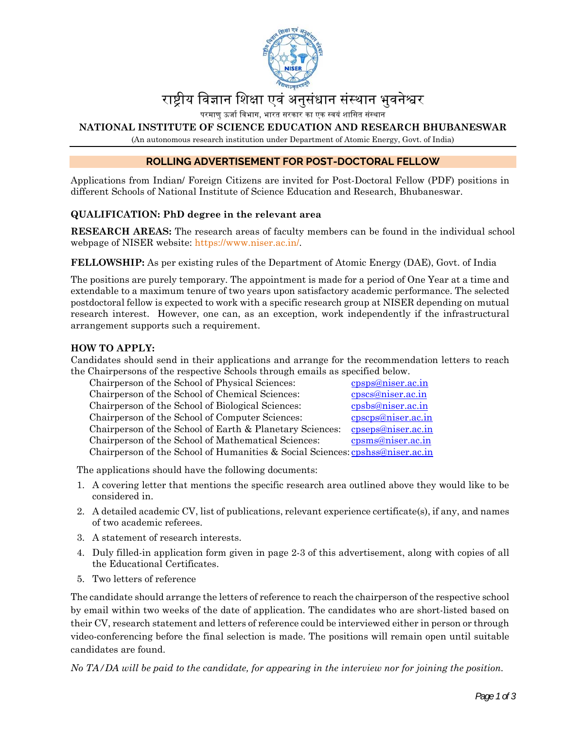

# राष्टीय विज्ञान शिक्षा एवं अनुसंधान संस्थान भुवनेश्वर

परमाणु ऊर्जा विभाग, भारत सरकार का एक स्वयं शासित संस्थान

#### **NATIONAL INSTITUTE OF SCIENCE EDUCATION AND RESEARCH BHUBANESWAR**

(An autonomous research institution under Department of Atomic Energy, Govt. of India)

## **ROLLING ADVERTISEMENT FOR POST-DOCTORAL FELLOW**

Applications from Indian/ Foreign Citizens are invited for Post-Doctoral Fellow (PDF) positions in different Schools of National Institute of Science Education and Research, Bhubaneswar.

#### **QUALIFICATION: PhD degree in the relevant area**

**RESEARCH AREAS:** The research areas of faculty members can be found in the individual school webpage of NISER website: https://www.niser.ac.in/.

**FELLOWSHIP:** As per existing rules of the Department of Atomic Energy (DAE), Govt. of India

The positions are purely temporary. The appointment is made for a period of One Year at a time and extendable to a maximum tenure of two years upon satisfactory academic performance. The selected postdoctoral fellow is expected to work with a specific research group at NISER depending on mutual research interest. However, one can, as an exception, work independently if the infrastructural arrangement supports such a requirement.

#### **HOW TO APPLY:**

Candidates should send in their applications and arrange for the recommendation letters to reach the Chairpersons of the respective Schools through emails as specified below.

| Chairperson of the School of Physical Sciences:     |                                                                               | cpsps@niser.ac.in  |
|-----------------------------------------------------|-------------------------------------------------------------------------------|--------------------|
| Chairperson of the School of Chemical Sciences:     |                                                                               | cpscs@niser.ac.in  |
| Chairperson of the School of Biological Sciences:   |                                                                               | cpsbs@niser.ac.in  |
| Chairperson of the School of Computer Sciences:     |                                                                               | cpscps@niser.ac.in |
|                                                     | Chairperson of the School of Earth & Planetary Sciences:                      | cpseps@niser.ac.in |
| Chairperson of the School of Mathematical Sciences: |                                                                               | cpsms@niser.ac.in  |
|                                                     | Chairperson of the School of Humanities & Social Sciences: cpshss@niser.ac.in |                    |

The applications should have the following documents:

- 1. A covering letter that mentions the specific research area outlined above they would like to be considered in.
- 2. A detailed academic CV, list of publications, relevant experience certificate(s), if any, and names of two academic referees.
- 3. A statement of research interests.
- 4. Duly filled-in application form given in page 2-3 of this advertisement, along with copies of all the Educational Certificates.
- 5. Two letters of reference

The candidate should arrange the letters of reference to reach the chairperson of the respective school by email within two weeks of the date of application. The candidates who are short-listed based on their CV, research statement and letters of reference could be interviewed either in person or through video-conferencing before the final selection is made. The positions will remain open until suitable candidates are found.

*No TA/DA will be paid to the candidate, for appearing in the interview nor for joining the position.*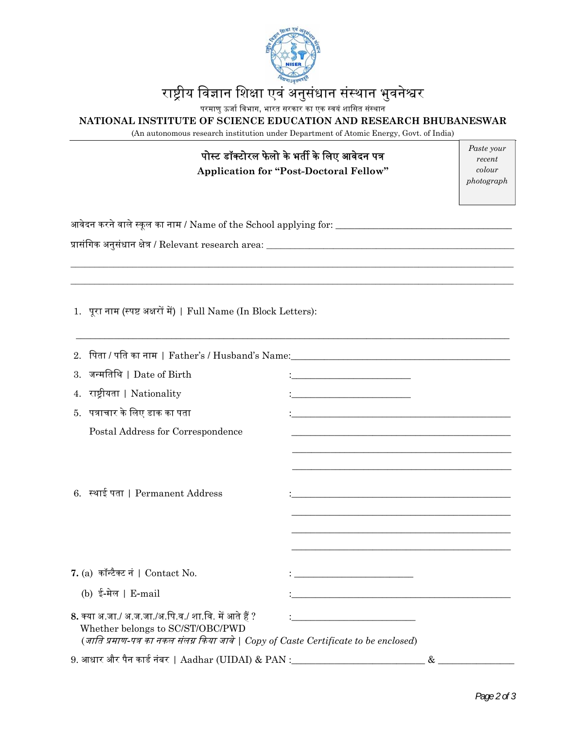

# राष्ट्रीय विज्ञान शिक्षा एवं अनुसंधान संस्थान भुवनेश्वर

परमाणु ऊर्जा विभाग, भारत सरकार का एक स्वयं शासित संस्थान

## **NATIONAL INSTITUTE OF SCIENCE EDUCATION AND RESEARCH BHUBANESWAR**

(An autonomous research institution under Department of Atomic Energy, Govt. of India)

# पोस्ट डॉक्टोरल फेलो के भर्ती के लिए आवेदन पत्र

**Application for "Post-Doctoral Fellow"** 

*Paste your recent colour photograph* 

| आवेदन करने वाले स्कूल का नाम / $\rm Name$ of the $\rm School$ applying for: $\rm _1$ |  |
|--------------------------------------------------------------------------------------|--|
|                                                                                      |  |

 $\_$  ,  $\_$  ,  $\_$  ,  $\_$  ,  $\_$  ,  $\_$  ,  $\_$  ,  $\_$  ,  $\_$  ,  $\_$  ,  $\_$  ,  $\_$  ,  $\_$  ,  $\_$  ,  $\_$  ,  $\_$  ,  $\_$  ,  $\_$  ,  $\_$  ,  $\_$  ,  $\_$  ,  $\_$  ,  $\_$  ,  $\_$  ,  $\_$  ,  $\_$  ,  $\_$  ,  $\_$  ,  $\_$  ,  $\_$  ,  $\_$  ,  $\_$  ,  $\_$  ,  $\_$  ,  $\_$  ,  $\_$  ,  $\_$  ,  $\_$  ,  $\_$  ,  $\_$  ,  $\_$  ,  $\_$  ,  $\_$  ,  $\_$  ,  $\_$  ,  $\_$  ,  $\_$  ,  $\_$  ,  $\_$  ,  $\_$  ,  $\_$  ,  $\_$  ,  $\_$  ,  $\_$  ,  $\_$  ,  $\_$  ,  $\_$  ,  $\_$  ,  $\_$  ,  $\_$  ,  $\_$  ,  $\_$  ,  $\_$  ,  $\_$  ,  $\_$  ,  $\_$  ,  $\_$  ,  $\_$  ,  $\_$  ,  $\_$  ,  $\_$  ,  $\_$  ,  $\_$  ,  $\_$  ,

\_\_\_\_\_\_\_\_\_\_\_\_\_\_\_\_\_\_\_\_\_\_\_\_\_\_\_\_\_\_\_\_\_\_\_\_\_\_\_\_\_\_\_\_\_\_\_\_\_\_\_\_\_\_\_\_\_\_\_\_\_\_\_\_\_\_\_\_\_\_\_\_\_\_\_\_\_\_\_\_\_\_\_\_\_\_\_\_\_\_\_

पर्ासंिगक अनुसंधान क्षेतर् / Relevant research area: \_\_\_\_\_\_\_\_\_\_\_\_\_\_\_\_\_\_\_\_\_\_\_\_\_\_\_\_\_\_\_\_\_\_\_\_\_\_\_\_\_\_\_\_\_\_\_\_\_\_\_\_

1. पूरा नाम (स्पष्ट अक्षरों में) | Full Name (In Block Letters):

| 3. जन्मतिथि   Date of Birth                                                                                               | <u> 1989 - Johann Barbara, martxa alemaniar populari (</u> |                                                                                                                       |
|---------------------------------------------------------------------------------------------------------------------------|------------------------------------------------------------|-----------------------------------------------------------------------------------------------------------------------|
| राष्ट्रीयता   Nationality<br>4.                                                                                           | <u> 1989 - Johann Stein, marwolaethau a bh</u>             |                                                                                                                       |
| 5.   पत्राचार के लिए डाक का पता                                                                                           |                                                            |                                                                                                                       |
| Postal Address for Correspondence                                                                                         |                                                            | <u> 1989 - Johann Harry Harry Harry Harry Harry Harry Harry Harry Harry Harry Harry Harry Harry Harry Harry Harry</u> |
|                                                                                                                           |                                                            |                                                                                                                       |
|                                                                                                                           |                                                            |                                                                                                                       |
| 6. स्थाई पता   Permanent Address                                                                                          |                                                            |                                                                                                                       |
|                                                                                                                           |                                                            | <u> 1989 - Johann Stoff, deutscher Stoff, der Stoff, der Stoff, der Stoff, der Stoff, der Stoff, der Stoff, der S</u> |
|                                                                                                                           |                                                            | <u> 1989 - Johann Harry Harry Harry Harry Harry Harry Harry Harry Harry Harry Harry Harry Harry Harry Harry Harry</u> |
|                                                                                                                           |                                                            |                                                                                                                       |
| 7. (a) कॉन्टैक्ट नं   Contact No.                                                                                         |                                                            |                                                                                                                       |
| (b) ई-मेल   E-mail                                                                                                        |                                                            |                                                                                                                       |
| 8. क्या अ.जा./ अ.ज.जा./अ.पि.व./ शा.वि. में आते हैं ?                                                                      |                                                            |                                                                                                                       |
| Whether belongs to SC/ST/OBC/PWD<br>(जाति प्रमाण-पत्र का नकल संलग्न किया जावे   Copy of Caste Certificate to be enclosed) |                                                            |                                                                                                                       |
| 9. आधार और पैन कार्ड नंबर    Aadhar (UIDAI) & PAN :_____________________________                                          |                                                            |                                                                                                                       |